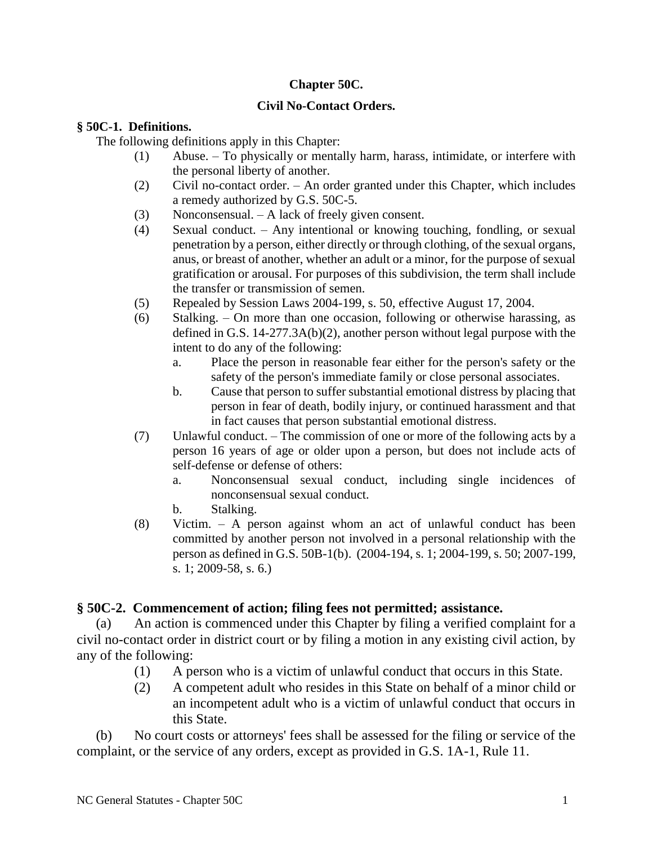## **Chapter 50C.**

## **Civil No-Contact Orders.**

## **§ 50C-1. Definitions.**

The following definitions apply in this Chapter:

- (1) Abuse. To physically or mentally harm, harass, intimidate, or interfere with the personal liberty of another.
- (2) Civil no-contact order. An order granted under this Chapter, which includes a remedy authorized by G.S. 50C-5.
- (3) Nonconsensual. A lack of freely given consent.
- (4) Sexual conduct. Any intentional or knowing touching, fondling, or sexual penetration by a person, either directly or through clothing, of the sexual organs, anus, or breast of another, whether an adult or a minor, for the purpose of sexual gratification or arousal. For purposes of this subdivision, the term shall include the transfer or transmission of semen.
- (5) Repealed by Session Laws 2004-199, s. 50, effective August 17, 2004.
- (6) Stalking. On more than one occasion, following or otherwise harassing, as defined in G.S. 14-277.3A(b)(2), another person without legal purpose with the intent to do any of the following:
	- a. Place the person in reasonable fear either for the person's safety or the safety of the person's immediate family or close personal associates.
	- b. Cause that person to suffer substantial emotional distress by placing that person in fear of death, bodily injury, or continued harassment and that in fact causes that person substantial emotional distress.
- (7) Unlawful conduct. The commission of one or more of the following acts by a person 16 years of age or older upon a person, but does not include acts of self-defense or defense of others:
	- a. Nonconsensual sexual conduct, including single incidences of nonconsensual sexual conduct.
	- b. Stalking.
- (8) Victim. A person against whom an act of unlawful conduct has been committed by another person not involved in a personal relationship with the person as defined in G.S. 50B-1(b). (2004-194, s. 1; 2004-199, s. 50; 2007-199, s. 1; 2009-58, s. 6.)

## **§ 50C-2. Commencement of action; filing fees not permitted; assistance.**

(a) An action is commenced under this Chapter by filing a verified complaint for a civil no-contact order in district court or by filing a motion in any existing civil action, by any of the following:

- (1) A person who is a victim of unlawful conduct that occurs in this State.
- (2) A competent adult who resides in this State on behalf of a minor child or an incompetent adult who is a victim of unlawful conduct that occurs in this State.

(b) No court costs or attorneys' fees shall be assessed for the filing or service of the complaint, or the service of any orders, except as provided in G.S. 1A-1, Rule 11.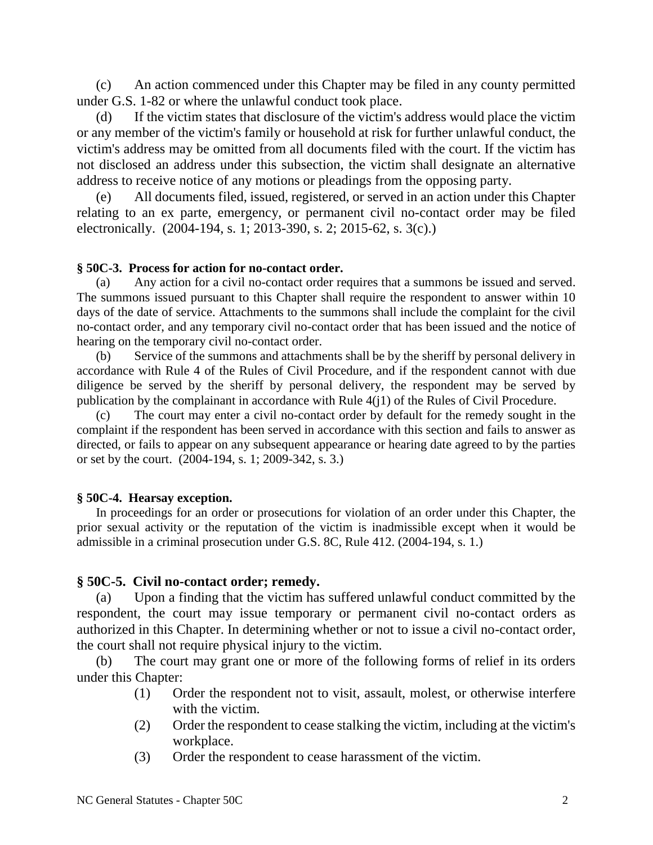(c) An action commenced under this Chapter may be filed in any county permitted under G.S. 1-82 or where the unlawful conduct took place.

(d) If the victim states that disclosure of the victim's address would place the victim or any member of the victim's family or household at risk for further unlawful conduct, the victim's address may be omitted from all documents filed with the court. If the victim has not disclosed an address under this subsection, the victim shall designate an alternative address to receive notice of any motions or pleadings from the opposing party.

All documents filed, issued, registered, or served in an action under this Chapter relating to an ex parte, emergency, or permanent civil no-contact order may be filed electronically. (2004-194, s. 1; 2013-390, s. 2; 2015-62, s. 3(c).)

### **§ 50C-3. Process for action for no-contact order.**

(a) Any action for a civil no-contact order requires that a summons be issued and served. The summons issued pursuant to this Chapter shall require the respondent to answer within 10 days of the date of service. Attachments to the summons shall include the complaint for the civil no-contact order, and any temporary civil no-contact order that has been issued and the notice of hearing on the temporary civil no-contact order.

(b) Service of the summons and attachments shall be by the sheriff by personal delivery in accordance with Rule 4 of the Rules of Civil Procedure, and if the respondent cannot with due diligence be served by the sheriff by personal delivery, the respondent may be served by publication by the complainant in accordance with Rule 4(j1) of the Rules of Civil Procedure.

(c) The court may enter a civil no-contact order by default for the remedy sought in the complaint if the respondent has been served in accordance with this section and fails to answer as directed, or fails to appear on any subsequent appearance or hearing date agreed to by the parties or set by the court. (2004-194, s. 1; 2009-342, s. 3.)

## **§ 50C-4. Hearsay exception.**

In proceedings for an order or prosecutions for violation of an order under this Chapter, the prior sexual activity or the reputation of the victim is inadmissible except when it would be admissible in a criminal prosecution under G.S. 8C, Rule 412. (2004-194, s. 1.)

## **§ 50C-5. Civil no-contact order; remedy.**

(a) Upon a finding that the victim has suffered unlawful conduct committed by the respondent, the court may issue temporary or permanent civil no-contact orders as authorized in this Chapter. In determining whether or not to issue a civil no-contact order, the court shall not require physical injury to the victim.

(b) The court may grant one or more of the following forms of relief in its orders under this Chapter:

- (1) Order the respondent not to visit, assault, molest, or otherwise interfere with the victim.
- (2) Order the respondent to cease stalking the victim, including at the victim's workplace.
- (3) Order the respondent to cease harassment of the victim.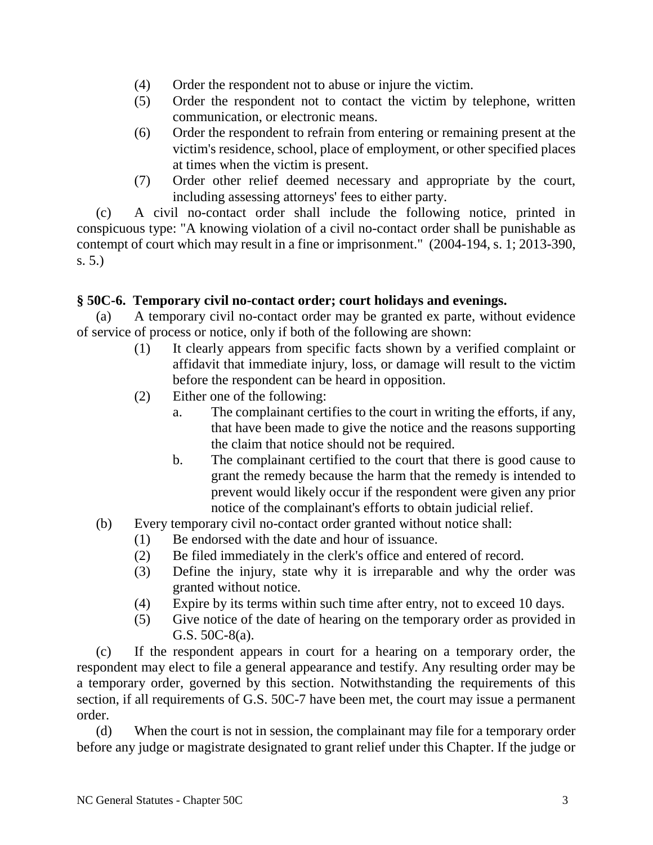- (4) Order the respondent not to abuse or injure the victim.
- (5) Order the respondent not to contact the victim by telephone, written communication, or electronic means.
- (6) Order the respondent to refrain from entering or remaining present at the victim's residence, school, place of employment, or other specified places at times when the victim is present.
- (7) Order other relief deemed necessary and appropriate by the court, including assessing attorneys' fees to either party.

(c) A civil no-contact order shall include the following notice, printed in conspicuous type: "A knowing violation of a civil no-contact order shall be punishable as contempt of court which may result in a fine or imprisonment." (2004-194, s. 1; 2013-390, s. 5.)

# **§ 50C-6. Temporary civil no-contact order; court holidays and evenings.**

(a) A temporary civil no-contact order may be granted ex parte, without evidence of service of process or notice, only if both of the following are shown:

- (1) It clearly appears from specific facts shown by a verified complaint or affidavit that immediate injury, loss, or damage will result to the victim before the respondent can be heard in opposition.
- (2) Either one of the following:
	- a. The complainant certifies to the court in writing the efforts, if any, that have been made to give the notice and the reasons supporting the claim that notice should not be required.
	- b. The complainant certified to the court that there is good cause to grant the remedy because the harm that the remedy is intended to prevent would likely occur if the respondent were given any prior notice of the complainant's efforts to obtain judicial relief.
- (b) Every temporary civil no-contact order granted without notice shall:
	- (1) Be endorsed with the date and hour of issuance.
	- (2) Be filed immediately in the clerk's office and entered of record.
	- (3) Define the injury, state why it is irreparable and why the order was granted without notice.
	- (4) Expire by its terms within such time after entry, not to exceed 10 days.
	- (5) Give notice of the date of hearing on the temporary order as provided in G.S. 50C-8(a).

(c) If the respondent appears in court for a hearing on a temporary order, the respondent may elect to file a general appearance and testify. Any resulting order may be a temporary order, governed by this section. Notwithstanding the requirements of this section, if all requirements of G.S. 50C-7 have been met, the court may issue a permanent order.

(d) When the court is not in session, the complainant may file for a temporary order before any judge or magistrate designated to grant relief under this Chapter. If the judge or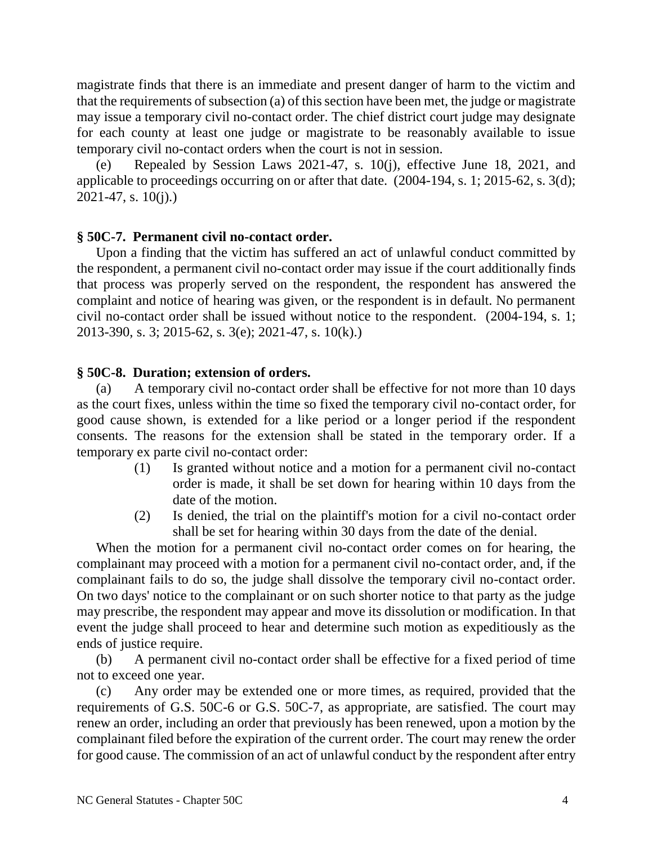magistrate finds that there is an immediate and present danger of harm to the victim and that the requirements of subsection (a) of this section have been met, the judge or magistrate may issue a temporary civil no-contact order. The chief district court judge may designate for each county at least one judge or magistrate to be reasonably available to issue temporary civil no-contact orders when the court is not in session.

(e) Repealed by Session Laws 2021-47, s. 10(j), effective June 18, 2021, and applicable to proceedings occurring on or after that date. (2004-194, s. 1; 2015-62, s. 3(d);  $2021 - 47$ , s.  $10(i)$ .

## **§ 50C-7. Permanent civil no-contact order.**

Upon a finding that the victim has suffered an act of unlawful conduct committed by the respondent, a permanent civil no-contact order may issue if the court additionally finds that process was properly served on the respondent, the respondent has answered the complaint and notice of hearing was given, or the respondent is in default. No permanent civil no-contact order shall be issued without notice to the respondent. (2004-194, s. 1; 2013-390, s. 3; 2015-62, s. 3(e); 2021-47, s. 10(k).)

## **§ 50C-8. Duration; extension of orders.**

(a) A temporary civil no-contact order shall be effective for not more than 10 days as the court fixes, unless within the time so fixed the temporary civil no-contact order, for good cause shown, is extended for a like period or a longer period if the respondent consents. The reasons for the extension shall be stated in the temporary order. If a temporary ex parte civil no-contact order:

- (1) Is granted without notice and a motion for a permanent civil no-contact order is made, it shall be set down for hearing within 10 days from the date of the motion.
- (2) Is denied, the trial on the plaintiff's motion for a civil no-contact order shall be set for hearing within 30 days from the date of the denial.

When the motion for a permanent civil no-contact order comes on for hearing, the complainant may proceed with a motion for a permanent civil no-contact order, and, if the complainant fails to do so, the judge shall dissolve the temporary civil no-contact order. On two days' notice to the complainant or on such shorter notice to that party as the judge may prescribe, the respondent may appear and move its dissolution or modification. In that event the judge shall proceed to hear and determine such motion as expeditiously as the ends of justice require.

(b) A permanent civil no-contact order shall be effective for a fixed period of time not to exceed one year.

(c) Any order may be extended one or more times, as required, provided that the requirements of G.S. 50C-6 or G.S. 50C-7, as appropriate, are satisfied. The court may renew an order, including an order that previously has been renewed, upon a motion by the complainant filed before the expiration of the current order. The court may renew the order for good cause. The commission of an act of unlawful conduct by the respondent after entry